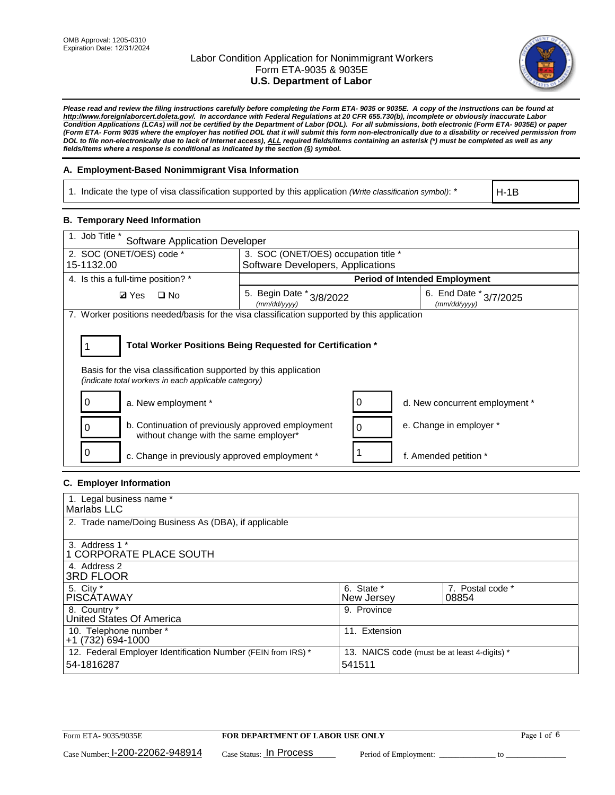

*Please read and review the filing instructions carefully before completing the Form ETA- 9035 or 9035E. A copy of the instructions can be found at http://www.foreignlaborcert.doleta.gov/. In accordance with Federal Regulations at 20 CFR 655.730(b), incomplete or obviously inaccurate Labor Condition Applications (LCAs) will not be certified by the Department of Labor (DOL). For all submissions, both electronic (Form ETA- 9035E) or paper (Form ETA- Form 9035 where the employer has notified DOL that it will submit this form non-electronically due to a disability or received permission from DOL to file non-electronically due to lack of Internet access), ALL required fields/items containing an asterisk (\*) must be completed as well as any fields/items where a response is conditional as indicated by the section (§) symbol.* 

### **A. Employment-Based Nonimmigrant Visa Information**

1. Indicate the type of visa classification supported by this application *(Write classification symbol)*: \*

H-1B

### **B. Temporary Need Information**

| 1. Job Title *<br><b>Software Application Developer</b>                                                                                                                               |                                          |   |                                        |  |
|---------------------------------------------------------------------------------------------------------------------------------------------------------------------------------------|------------------------------------------|---|----------------------------------------|--|
| 2. SOC (ONET/OES) code *                                                                                                                                                              | 3. SOC (ONET/OES) occupation title *     |   |                                        |  |
| 15-1132.00                                                                                                                                                                            | Software Developers, Applications        |   |                                        |  |
| 4. Is this a full-time position? *                                                                                                                                                    |                                          |   | <b>Period of Intended Employment</b>   |  |
| <b>Ø</b> Yes<br>$\Box$ No                                                                                                                                                             | 5. Begin Date * 3/8/2022<br>(mm/dd/yyyy) |   | 6. End Date * 3/7/2025<br>(mm/dd/yyyy) |  |
| 7. Worker positions needed/basis for the visa classification supported by this application                                                                                            |                                          |   |                                        |  |
| Total Worker Positions Being Requested for Certification *<br>Basis for the visa classification supported by this application<br>(indicate total workers in each applicable category) |                                          |   |                                        |  |
| a. New employment *                                                                                                                                                                   |                                          |   | d. New concurrent employment *         |  |
| b. Continuation of previously approved employment<br>0<br>without change with the same employer*                                                                                      |                                          | 0 | e. Change in employer *                |  |
| c. Change in previously approved employment *                                                                                                                                         |                                          |   | f. Amended petition *                  |  |

### **C. Employer Information**

| 1. Legal business name *                                                   |                                                        |                           |
|----------------------------------------------------------------------------|--------------------------------------------------------|---------------------------|
| Marlabs LLC                                                                |                                                        |                           |
| 2. Trade name/Doing Business As (DBA), if applicable                       |                                                        |                           |
| 3. Address 1 *<br>1 CORPORATE PLACE SOUTH<br>4. Address 2                  |                                                        |                           |
| <b>3RD FLOOR</b>                                                           |                                                        |                           |
| 5. City *<br><b>PISCÁTAWAY</b>                                             | 6. State *<br>New Jersey                               | 7. Postal code *<br>08854 |
| 8. Country *<br>United States Of America                                   | 9. Province                                            |                           |
| 10. Telephone number *<br>$+1(732)694-1000$                                | 11. Extension                                          |                           |
| 12. Federal Employer Identification Number (FEIN from IRS) *<br>54-1816287 | 13. NAICS code (must be at least 4-digits) *<br>541511 |                           |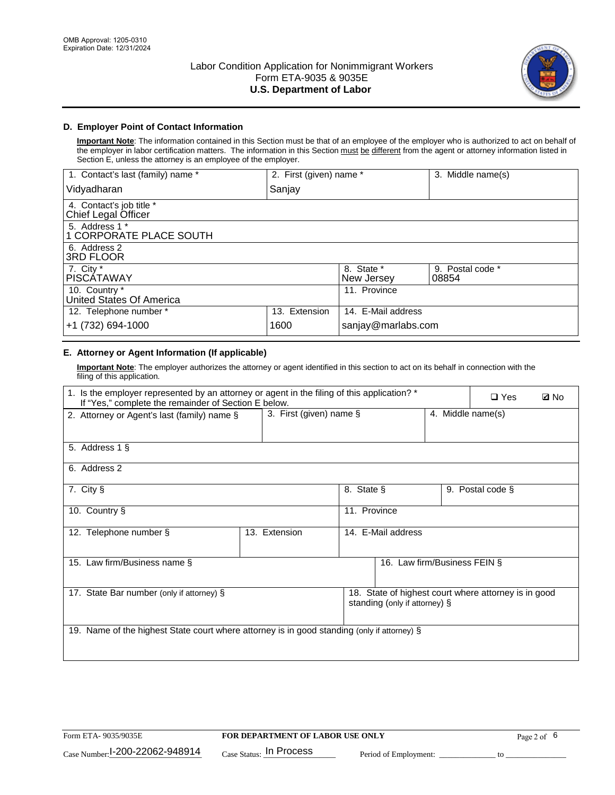

## **D. Employer Point of Contact Information**

**Important Note**: The information contained in this Section must be that of an employee of the employer who is authorized to act on behalf of the employer in labor certification matters. The information in this Section must be different from the agent or attorney information listed in Section E, unless the attorney is an employee of the employer.

| 1. Contact's last (family) name *               | 2. First (given) name * |                          | 3. Middle name(s)         |
|-------------------------------------------------|-------------------------|--------------------------|---------------------------|
| Vidyadharan                                     | Sanjay                  |                          |                           |
| 4. Contact's job title *<br>Chief Legal Officer |                         |                          |                           |
| 5. Address 1 *<br>1 CORPORATE PLACE SOUTH       |                         |                          |                           |
| 6. Address 2<br><b>3RD FLOOR</b>                |                         |                          |                           |
| 7. City *<br><b>PISCÁTAWAY</b>                  |                         | 8. State *<br>New Jersey | 9. Postal code *<br>08854 |
| 10. Country *<br>United States Of America       |                         | 11. Province             |                           |
| 12. Telephone number *                          | 13. Extension           | 14. E-Mail address       |                           |
| +1 (732) 694-1000                               | 1600                    | sanjay@marlabs.com       |                           |

# **E. Attorney or Agent Information (If applicable)**

**Important Note**: The employer authorizes the attorney or agent identified in this section to act on its behalf in connection with the filing of this application.

| 1. Is the employer represented by an attorney or agent in the filing of this application? *<br>If "Yes," complete the remainder of Section E below. |                         |              |                               | $\Box$ Yes        | <b>ØNo</b>                                           |  |
|-----------------------------------------------------------------------------------------------------------------------------------------------------|-------------------------|--------------|-------------------------------|-------------------|------------------------------------------------------|--|
| 2. Attorney or Agent's last (family) name §                                                                                                         | 3. First (given) name § |              |                               | 4. Middle name(s) |                                                      |  |
| 5. Address 1 §                                                                                                                                      |                         |              |                               |                   |                                                      |  |
| 6. Address 2                                                                                                                                        |                         |              |                               |                   |                                                      |  |
| 7. City §                                                                                                                                           |                         | 8. State §   |                               |                   | 9. Postal code §                                     |  |
| 10. Country §                                                                                                                                       |                         | 11. Province |                               |                   |                                                      |  |
| 12. Telephone number §                                                                                                                              | 13. Extension           |              | 14. E-Mail address            |                   |                                                      |  |
| 15. Law firm/Business name §                                                                                                                        |                         |              | 16. Law firm/Business FEIN §  |                   |                                                      |  |
| 17. State Bar number (only if attorney) §                                                                                                           |                         |              | standing (only if attorney) § |                   | 18. State of highest court where attorney is in good |  |
| 19. Name of the highest State court where attorney is in good standing (only if attorney) §                                                         |                         |              |                               |                   |                                                      |  |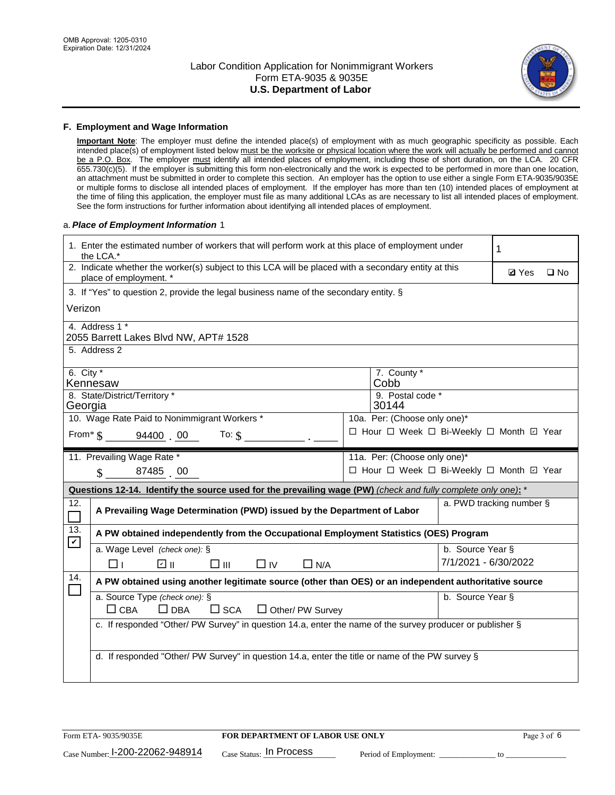

#### **F. Employment and Wage Information**

**Important Note**: The employer must define the intended place(s) of employment with as much geographic specificity as possible. Each intended place(s) of employment listed below must be the worksite or physical location where the work will actually be performed and cannot be a P.O. Box. The employer must identify all intended places of employment, including those of short duration, on the LCA. 20 CFR 655.730(c)(5). If the employer is submitting this form non-electronically and the work is expected to be performed in more than one location, an attachment must be submitted in order to complete this section. An employer has the option to use either a single Form ETA-9035/9035E or multiple forms to disclose all intended places of employment. If the employer has more than ten (10) intended places of employment at the time of filing this application, the employer must file as many additional LCAs as are necessary to list all intended places of employment. See the form instructions for further information about identifying all intended places of employment.

#### a.*Place of Employment Information* 1

| 1. Enter the estimated number of workers that will perform work at this place of employment under<br>the LCA.*                 | 1                                                                                                     |                          |  |  |  |  |  |
|--------------------------------------------------------------------------------------------------------------------------------|-------------------------------------------------------------------------------------------------------|--------------------------|--|--|--|--|--|
| 2. Indicate whether the worker(s) subject to this LCA will be placed with a secondary entity at this<br>place of employment. * | <b>Ø</b> Yes<br>$\square$ No                                                                          |                          |  |  |  |  |  |
| 3. If "Yes" to question 2, provide the legal business name of the secondary entity. §                                          |                                                                                                       |                          |  |  |  |  |  |
| Verizon                                                                                                                        |                                                                                                       |                          |  |  |  |  |  |
| 4. Address 1 *<br>2055 Barrett Lakes Blvd NW, APT# 1528                                                                        |                                                                                                       |                          |  |  |  |  |  |
| 5. Address 2                                                                                                                   |                                                                                                       |                          |  |  |  |  |  |
| 6. City $*$<br>Kennesaw                                                                                                        | 7. County *<br>Cobb                                                                                   |                          |  |  |  |  |  |
| 8. State/District/Territory *<br>Georgia                                                                                       | 9. Postal code *<br>30144                                                                             |                          |  |  |  |  |  |
| 10. Wage Rate Paid to Nonimmigrant Workers *                                                                                   | 10a. Per: (Choose only one)*                                                                          |                          |  |  |  |  |  |
| From $\$$ 94400 00<br>To: $$$                                                                                                  | □ Hour □ Week □ Bi-Weekly □ Month ☑ Year                                                              |                          |  |  |  |  |  |
| 11. Prevailing Wage Rate *                                                                                                     | 11a. Per: (Choose only one)*                                                                          |                          |  |  |  |  |  |
| $\sin 87485$ 00                                                                                                                | □ Hour □ Week □ Bi-Weekly □ Month ☑ Year                                                              |                          |  |  |  |  |  |
| Questions 12-14. Identify the source used for the prevailing wage (PW) (check and fully complete only one): *                  |                                                                                                       |                          |  |  |  |  |  |
| 12.<br>A Prevailing Wage Determination (PWD) issued by the Department of Labor                                                 |                                                                                                       | a. PWD tracking number § |  |  |  |  |  |
| 13.<br>A PW obtained independently from the Occupational Employment Statistics (OES) Program<br>$\blacktriangledown$           |                                                                                                       |                          |  |  |  |  |  |
| a. Wage Level (check one): §                                                                                                   |                                                                                                       | b. Source Year §         |  |  |  |  |  |
| ☑ ⊪<br>□⊪<br>$\Box$ IV<br>⊓⊥<br>$\Box$ N/A                                                                                     |                                                                                                       | 7/1/2021 - 6/30/2022     |  |  |  |  |  |
| 14.                                                                                                                            | A PW obtained using another legitimate source (other than OES) or an independent authoritative source |                          |  |  |  |  |  |
| a. Source Type (check one): §<br>b. Source Year §                                                                              |                                                                                                       |                          |  |  |  |  |  |
| $\Box$ CBA<br>$\Box$ DBA<br>$\square$ SCA<br>$\Box$ Other/ PW Survey                                                           |                                                                                                       |                          |  |  |  |  |  |
| c. If responded "Other/ PW Survey" in question 14.a, enter the name of the survey producer or publisher §                      |                                                                                                       |                          |  |  |  |  |  |
|                                                                                                                                |                                                                                                       |                          |  |  |  |  |  |
|                                                                                                                                | d. If responded "Other/ PW Survey" in question 14.a, enter the title or name of the PW survey §       |                          |  |  |  |  |  |
|                                                                                                                                |                                                                                                       |                          |  |  |  |  |  |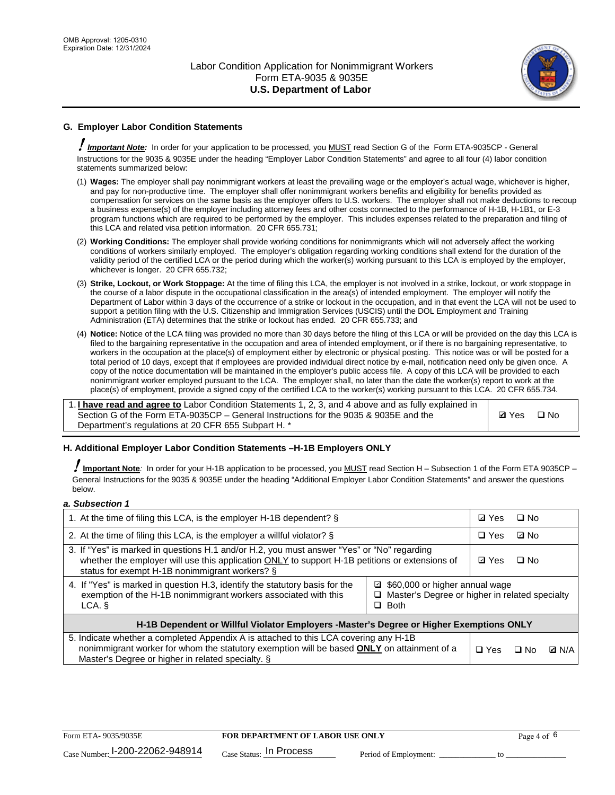

# **G. Employer Labor Condition Statements**

! *Important Note:* In order for your application to be processed, you MUST read Section G of the Form ETA-9035CP - General Instructions for the 9035 & 9035E under the heading "Employer Labor Condition Statements" and agree to all four (4) labor condition statements summarized below:

- (1) **Wages:** The employer shall pay nonimmigrant workers at least the prevailing wage or the employer's actual wage, whichever is higher, and pay for non-productive time. The employer shall offer nonimmigrant workers benefits and eligibility for benefits provided as compensation for services on the same basis as the employer offers to U.S. workers. The employer shall not make deductions to recoup a business expense(s) of the employer including attorney fees and other costs connected to the performance of H-1B, H-1B1, or E-3 program functions which are required to be performed by the employer. This includes expenses related to the preparation and filing of this LCA and related visa petition information. 20 CFR 655.731;
- (2) **Working Conditions:** The employer shall provide working conditions for nonimmigrants which will not adversely affect the working conditions of workers similarly employed. The employer's obligation regarding working conditions shall extend for the duration of the validity period of the certified LCA or the period during which the worker(s) working pursuant to this LCA is employed by the employer, whichever is longer. 20 CFR 655.732;
- (3) **Strike, Lockout, or Work Stoppage:** At the time of filing this LCA, the employer is not involved in a strike, lockout, or work stoppage in the course of a labor dispute in the occupational classification in the area(s) of intended employment. The employer will notify the Department of Labor within 3 days of the occurrence of a strike or lockout in the occupation, and in that event the LCA will not be used to support a petition filing with the U.S. Citizenship and Immigration Services (USCIS) until the DOL Employment and Training Administration (ETA) determines that the strike or lockout has ended. 20 CFR 655.733; and
- (4) **Notice:** Notice of the LCA filing was provided no more than 30 days before the filing of this LCA or will be provided on the day this LCA is filed to the bargaining representative in the occupation and area of intended employment, or if there is no bargaining representative, to workers in the occupation at the place(s) of employment either by electronic or physical posting. This notice was or will be posted for a total period of 10 days, except that if employees are provided individual direct notice by e-mail, notification need only be given once. A copy of the notice documentation will be maintained in the employer's public access file. A copy of this LCA will be provided to each nonimmigrant worker employed pursuant to the LCA. The employer shall, no later than the date the worker(s) report to work at the place(s) of employment, provide a signed copy of the certified LCA to the worker(s) working pursuant to this LCA. 20 CFR 655.734.

1. **I have read and agree to** Labor Condition Statements 1, 2, 3, and 4 above and as fully explained in Section G of the Form ETA-9035CP – General Instructions for the 9035 & 9035E and the Department's regulations at 20 CFR 655 Subpart H. \*

**Ø**Yes ロNo

#### **H. Additional Employer Labor Condition Statements –H-1B Employers ONLY**

!**Important Note***:* In order for your H-1B application to be processed, you MUST read Section H – Subsection 1 of the Form ETA 9035CP – General Instructions for the 9035 & 9035E under the heading "Additional Employer Labor Condition Statements" and answer the questions below.

#### *a. Subsection 1*

| 1. At the time of filing this LCA, is the employer H-1B dependent? §                                                                                                                                                                                          |  |              | $\square$ No |              |
|---------------------------------------------------------------------------------------------------------------------------------------------------------------------------------------------------------------------------------------------------------------|--|--------------|--------------|--------------|
| 2. At the time of filing this LCA, is the employer a willful violator? $\S$                                                                                                                                                                                   |  | $\Box$ Yes   | ⊡ No         |              |
| 3. If "Yes" is marked in questions H.1 and/or H.2, you must answer "Yes" or "No" regarding<br>whether the employer will use this application ONLY to support H-1B petitions or extensions of<br>status for exempt H-1B nonimmigrant workers? §                |  | <b>☑</b> Yes | $\Box$ No    |              |
| 4. If "Yes" is marked in question H.3, identify the statutory basis for the<br>■ \$60,000 or higher annual wage<br>exemption of the H-1B nonimmigrant workers associated with this<br>□ Master's Degree or higher in related specialty<br>$\Box$ Both<br>LCA. |  |              |              |              |
| H-1B Dependent or Willful Violator Employers -Master's Degree or Higher Exemptions ONLY                                                                                                                                                                       |  |              |              |              |
| 5. Indicate whether a completed Appendix A is attached to this LCA covering any H-1B<br>nonimmigrant worker for whom the statutory exemption will be based <b>ONLY</b> on attainment of a<br>Master's Degree or higher in related specialty. §                |  | $\Box$ Yes   | ⊡ No         | <b>Q</b> N/A |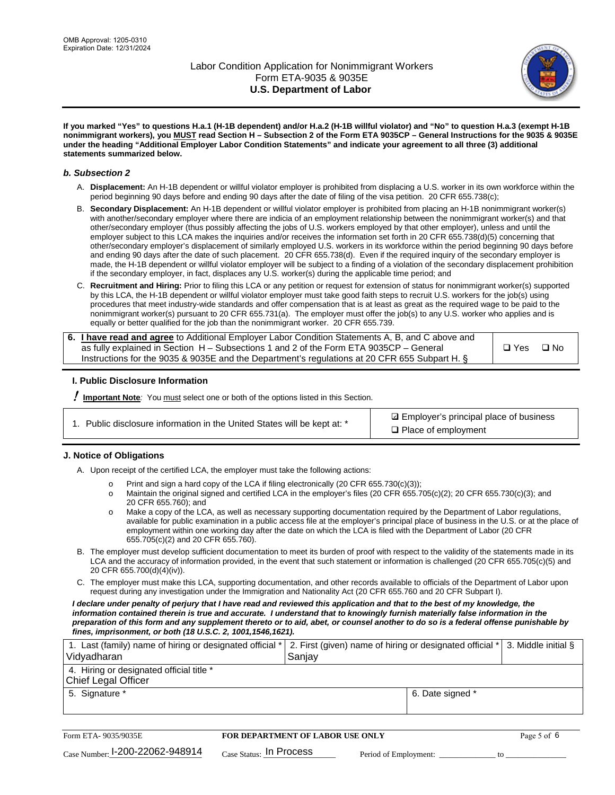

**If you marked "Yes" to questions H.a.1 (H-1B dependent) and/or H.a.2 (H-1B willful violator) and "No" to question H.a.3 (exempt H-1B nonimmigrant workers), you MUST read Section H – Subsection 2 of the Form ETA 9035CP – General Instructions for the 9035 & 9035E under the heading "Additional Employer Labor Condition Statements" and indicate your agreement to all three (3) additional statements summarized below.**

#### *b. Subsection 2*

- A. **Displacement:** An H-1B dependent or willful violator employer is prohibited from displacing a U.S. worker in its own workforce within the period beginning 90 days before and ending 90 days after the date of filing of the visa petition. 20 CFR 655.738(c);
- B. **Secondary Displacement:** An H-1B dependent or willful violator employer is prohibited from placing an H-1B nonimmigrant worker(s) with another/secondary employer where there are indicia of an employment relationship between the nonimmigrant worker(s) and that other/secondary employer (thus possibly affecting the jobs of U.S. workers employed by that other employer), unless and until the employer subject to this LCA makes the inquiries and/or receives the information set forth in 20 CFR 655.738(d)(5) concerning that other/secondary employer's displacement of similarly employed U.S. workers in its workforce within the period beginning 90 days before and ending 90 days after the date of such placement. 20 CFR 655.738(d). Even if the required inquiry of the secondary employer is made, the H-1B dependent or willful violator employer will be subject to a finding of a violation of the secondary displacement prohibition if the secondary employer, in fact, displaces any U.S. worker(s) during the applicable time period; and
- C. **Recruitment and Hiring:** Prior to filing this LCA or any petition or request for extension of status for nonimmigrant worker(s) supported by this LCA, the H-1B dependent or willful violator employer must take good faith steps to recruit U.S. workers for the job(s) using procedures that meet industry-wide standards and offer compensation that is at least as great as the required wage to be paid to the nonimmigrant worker(s) pursuant to 20 CFR 655.731(a). The employer must offer the job(s) to any U.S. worker who applies and is equally or better qualified for the job than the nonimmigrant worker. 20 CFR 655.739.

| 6. I have read and agree to Additional Employer Labor Condition Statements A, B, and C above and |       |           |
|--------------------------------------------------------------------------------------------------|-------|-----------|
| as fully explained in Section H – Subsections 1 and 2 of the Form ETA 9035CP – General           | □ Yes | $\Box$ No |
| Instructions for the 9035 & 9035E and the Department's regulations at 20 CFR 655 Subpart H. §    |       |           |

#### **I. Public Disclosure Information**

! **Important Note***:* You must select one or both of the options listed in this Section.

**sqrt** Employer's principal place of business □ Place of employment

#### **J. Notice of Obligations**

A. Upon receipt of the certified LCA, the employer must take the following actions:

- o Print and sign a hard copy of the LCA if filing electronically (20 CFR 655.730(c)(3));<br>
Maintain the original signed and certified LCA in the employer's files (20 CFR 655.7
- Maintain the original signed and certified LCA in the employer's files (20 CFR 655.705(c)(2); 20 CFR 655.730(c)(3); and 20 CFR 655.760); and
- o Make a copy of the LCA, as well as necessary supporting documentation required by the Department of Labor regulations, available for public examination in a public access file at the employer's principal place of business in the U.S. or at the place of employment within one working day after the date on which the LCA is filed with the Department of Labor (20 CFR 655.705(c)(2) and 20 CFR 655.760).
- B. The employer must develop sufficient documentation to meet its burden of proof with respect to the validity of the statements made in its LCA and the accuracy of information provided, in the event that such statement or information is challenged (20 CFR 655.705(c)(5) and 20 CFR 655.700(d)(4)(iv)).
- C. The employer must make this LCA, supporting documentation, and other records available to officials of the Department of Labor upon request during any investigation under the Immigration and Nationality Act (20 CFR 655.760 and 20 CFR Subpart I).

*I declare under penalty of perjury that I have read and reviewed this application and that to the best of my knowledge, the*  information contained therein is true and accurate. I understand that to knowingly furnish materially false information in the *preparation of this form and any supplement thereto or to aid, abet, or counsel another to do so is a federal offense punishable by fines, imprisonment, or both (18 U.S.C. 2, 1001,1546,1621).*

| 1. Last (family) name of hiring or designated official *   2. First (given) name of hiring or designated official *   3. Middle initial §<br>Vidyadharan | Saniav           |  |
|----------------------------------------------------------------------------------------------------------------------------------------------------------|------------------|--|
| 4. Hiring or designated official title *<br>Chief Legal Officer                                                                                          |                  |  |
| 5. Signature *                                                                                                                                           | 6. Date signed * |  |

| Form ETA-9035/9035E                         | <b>FOR DEPARTMENT OF LABOR USE ONLY</b> |                       | Page 5 of 6 |
|---------------------------------------------|-----------------------------------------|-----------------------|-------------|
| $_{\text{Case Number:}}$ I-200-22062-948914 | $_{\rm Case~S status:}$ In Process      | Period of Employment: |             |